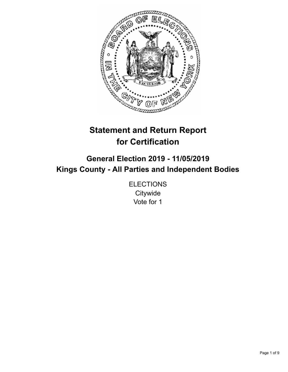

# **Statement and Return Report for Certification**

# **General Election 2019 - 11/05/2019 Kings County - All Parties and Independent Bodies**

**ELECTIONS Citywide** Vote for 1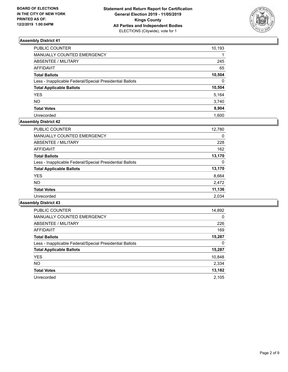

| PUBLIC COUNTER                                           | 10,193   |
|----------------------------------------------------------|----------|
| MANUALLY COUNTED EMERGENCY                               |          |
| ABSENTEE / MILITARY                                      | 245      |
| AFFIDAVIT                                                | 65       |
| <b>Total Ballots</b>                                     | 10,504   |
| Less - Inapplicable Federal/Special Presidential Ballots | $\Omega$ |
| <b>Total Applicable Ballots</b>                          | 10,504   |
| <b>YES</b>                                               | 5,164    |
| NO                                                       | 3,740    |
| <b>Total Votes</b>                                       | 8,904    |
| Unrecorded                                               | 1.600    |

# **Assembly District 42**

| PUBLIC COUNTER                                           | 12,780 |
|----------------------------------------------------------|--------|
| <b>MANUALLY COUNTED EMERGENCY</b>                        | 0      |
| ABSENTEE / MILITARY                                      | 228    |
| AFFIDAVIT                                                | 162    |
| <b>Total Ballots</b>                                     | 13,170 |
| Less - Inapplicable Federal/Special Presidential Ballots | 0      |
| <b>Total Applicable Ballots</b>                          | 13,170 |
| <b>YES</b>                                               | 8,664  |
| NO.                                                      | 2,472  |
| <b>Total Votes</b>                                       | 11,136 |
| Unrecorded                                               | 2.034  |

| <b>PUBLIC COUNTER</b>                                    | 14,892   |
|----------------------------------------------------------|----------|
| <b>MANUALLY COUNTED EMERGENCY</b>                        | $\Omega$ |
| ABSENTEE / MILITARY                                      | 226      |
| AFFIDAVIT                                                | 169      |
| <b>Total Ballots</b>                                     | 15,287   |
| Less - Inapplicable Federal/Special Presidential Ballots | 0        |
| <b>Total Applicable Ballots</b>                          | 15,287   |
| <b>YES</b>                                               | 10,848   |
| <b>NO</b>                                                | 2,334    |
| <b>Total Votes</b>                                       | 13,182   |
| Unrecorded                                               | 2.105    |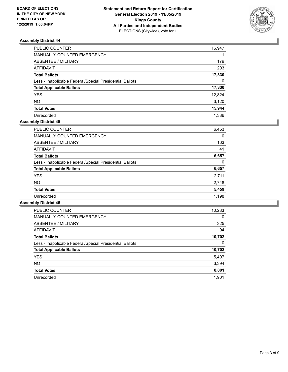

| PUBLIC COUNTER                                           | 16,947   |
|----------------------------------------------------------|----------|
| <b>MANUALLY COUNTED EMERGENCY</b>                        |          |
| ABSENTEE / MILITARY                                      | 179      |
| <b>AFFIDAVIT</b>                                         | 203      |
| <b>Total Ballots</b>                                     | 17,330   |
| Less - Inapplicable Federal/Special Presidential Ballots | $\Omega$ |
| <b>Total Applicable Ballots</b>                          | 17,330   |
| YES                                                      | 12,824   |
| NO                                                       | 3,120    |
| <b>Total Votes</b>                                       | 15,944   |
| Unrecorded                                               | 1.386    |

## **Assembly District 45**

| <b>PUBLIC COUNTER</b>                                    | 6,453 |
|----------------------------------------------------------|-------|
| <b>MANUALLY COUNTED EMERGENCY</b>                        | 0     |
| ABSENTEE / MILITARY                                      | 163   |
| AFFIDAVIT                                                | 41    |
| <b>Total Ballots</b>                                     | 6,657 |
| Less - Inapplicable Federal/Special Presidential Ballots | 0     |
| <b>Total Applicable Ballots</b>                          | 6,657 |
| <b>YES</b>                                               | 2,711 |
| <b>NO</b>                                                | 2,748 |
| <b>Total Votes</b>                                       | 5,459 |
| Unrecorded                                               | 1,198 |

| <b>PUBLIC COUNTER</b>                                    | 10,283   |
|----------------------------------------------------------|----------|
| <b>MANUALLY COUNTED EMERGENCY</b>                        | $\Omega$ |
| ABSENTEE / MILITARY                                      | 325      |
| <b>AFFIDAVIT</b>                                         | 94       |
| <b>Total Ballots</b>                                     | 10,702   |
| Less - Inapplicable Federal/Special Presidential Ballots | 0        |
| <b>Total Applicable Ballots</b>                          | 10,702   |
| <b>YES</b>                                               | 5,407    |
| <b>NO</b>                                                | 3,394    |
| <b>Total Votes</b>                                       | 8,801    |
| Unrecorded                                               | 1.901    |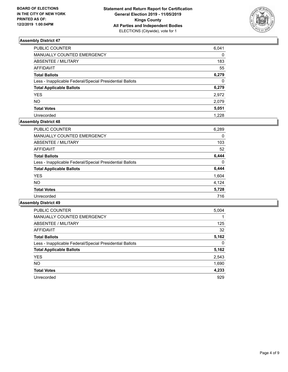

| PUBLIC COUNTER                                           | 6,041    |
|----------------------------------------------------------|----------|
| MANUALLY COUNTED EMERGENCY                               | 0        |
| ABSENTEE / MILITARY                                      | 183      |
| AFFIDAVIT                                                | 55       |
| Total Ballots                                            | 6,279    |
| Less - Inapplicable Federal/Special Presidential Ballots | $\Omega$ |
| <b>Total Applicable Ballots</b>                          | 6,279    |
| <b>YES</b>                                               | 2,972    |
| NO.                                                      | 2,079    |
| <b>Total Votes</b>                                       | 5,051    |
| Unrecorded                                               | 1.228    |

## **Assembly District 48**

| 6,289 |
|-------|
| 0     |
| 103   |
| 52    |
| 6.444 |
| 0     |
| 6,444 |
| 1,604 |
| 4.124 |
| 5,728 |
| 716   |
|       |

| PUBLIC COUNTER                                           | 5,004    |
|----------------------------------------------------------|----------|
| <b>MANUALLY COUNTED EMERGENCY</b>                        |          |
| ABSENTEE / MILITARY                                      | 125      |
| AFFIDAVIT                                                | 32       |
| <b>Total Ballots</b>                                     | 5,162    |
| Less - Inapplicable Federal/Special Presidential Ballots | $\Omega$ |
| <b>Total Applicable Ballots</b>                          | 5,162    |
| <b>YES</b>                                               | 2,543    |
| NO.                                                      | 1,690    |
| <b>Total Votes</b>                                       | 4,233    |
| Unrecorded                                               | 929      |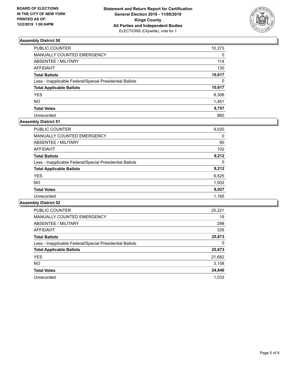

| PUBLIC COUNTER                                           | 10,373   |
|----------------------------------------------------------|----------|
| MANUALLY COUNTED EMERGENCY                               | 0        |
| ABSENTEE / MILITARY                                      | 114      |
| AFFIDAVIT                                                | 130      |
| Total Ballots                                            | 10,617   |
| Less - Inapplicable Federal/Special Presidential Ballots | $\Omega$ |
| <b>Total Applicable Ballots</b>                          | 10,617   |
| YES                                                      | 8,306    |
| NO.                                                      | 1,451    |
| <b>Total Votes</b>                                       | 9,757    |
| Unrecorded                                               | 860      |

# **Assembly District 51**

| <b>PUBLIC COUNTER</b>                                    | 9,020    |
|----------------------------------------------------------|----------|
| <b>MANUALLY COUNTED EMERGENCY</b>                        | 0        |
| ABSENTEE / MILITARY                                      | 90       |
| <b>AFFIDAVIT</b>                                         | 102      |
| <b>Total Ballots</b>                                     | 9,212    |
| Less - Inapplicable Federal/Special Presidential Ballots | $\Omega$ |
| <b>Total Applicable Ballots</b>                          | 9,212    |
| <b>YES</b>                                               | 6,525    |
| <b>NO</b>                                                | 1,502    |
| <b>Total Votes</b>                                       | 8,027    |
| Unrecorded                                               | 1,185    |

| <b>PUBLIC COUNTER</b>                                    | 25,221 |
|----------------------------------------------------------|--------|
| <b>MANUALLY COUNTED EMERGENCY</b>                        | 19     |
| ABSENTEE / MILITARY                                      | 298    |
| AFFIDAVIT                                                | 335    |
| <b>Total Ballots</b>                                     | 25,873 |
| Less - Inapplicable Federal/Special Presidential Ballots | 0      |
| <b>Total Applicable Ballots</b>                          | 25,873 |
| <b>YES</b>                                               | 21,682 |
| NO.                                                      | 3,158  |
| <b>Total Votes</b>                                       | 24,840 |
| Unrecorded                                               | 1.033  |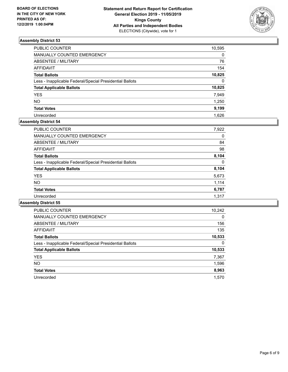

| PUBLIC COUNTER                                           | 10,595   |
|----------------------------------------------------------|----------|
| MANUALLY COUNTED EMERGENCY                               | 0        |
| ABSENTEE / MILITARY                                      | 76       |
| AFFIDAVIT                                                | 154      |
| Total Ballots                                            | 10,825   |
| Less - Inapplicable Federal/Special Presidential Ballots | $\Omega$ |
| <b>Total Applicable Ballots</b>                          | 10,825   |
| YES                                                      | 7,949    |
| NO.                                                      | 1,250    |
| <b>Total Votes</b>                                       | 9,199    |
| Unrecorded                                               | 1.626    |

## **Assembly District 54**

| <b>PUBLIC COUNTER</b>                                    | 7,922 |
|----------------------------------------------------------|-------|
| MANUALLY COUNTED EMERGENCY                               | 0     |
| ABSENTEE / MILITARY                                      | 84    |
| <b>AFFIDAVIT</b>                                         | 98    |
| <b>Total Ballots</b>                                     | 8,104 |
| Less - Inapplicable Federal/Special Presidential Ballots | 0     |
| <b>Total Applicable Ballots</b>                          | 8,104 |
| <b>YES</b>                                               | 5,673 |
| <b>NO</b>                                                | 1,114 |
| <b>Total Votes</b>                                       | 6,787 |
| Unrecorded                                               | 1.317 |

| <b>PUBLIC COUNTER</b>                                    | 10,242   |
|----------------------------------------------------------|----------|
| <b>MANUALLY COUNTED EMERGENCY</b>                        | $\Omega$ |
| ABSENTEE / MILITARY                                      | 156      |
| <b>AFFIDAVIT</b>                                         | 135      |
| <b>Total Ballots</b>                                     | 10,533   |
| Less - Inapplicable Federal/Special Presidential Ballots | 0        |
| <b>Total Applicable Ballots</b>                          | 10,533   |
| <b>YES</b>                                               | 7,367    |
| NO.                                                      | 1,596    |
| <b>Total Votes</b>                                       | 8,963    |
| Unrecorded                                               | 1.570    |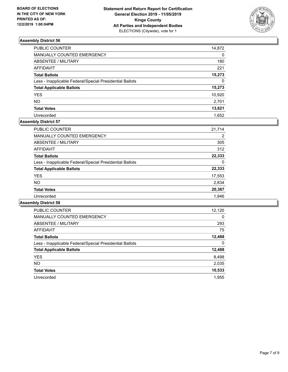

| PUBLIC COUNTER                                           | 14,872   |
|----------------------------------------------------------|----------|
| MANUALLY COUNTED EMERGENCY                               | $\Omega$ |
| ABSENTEE / MILITARY                                      | 180      |
| <b>AFFIDAVIT</b>                                         | 221      |
| <b>Total Ballots</b>                                     | 15,273   |
| Less - Inapplicable Federal/Special Presidential Ballots | $\Omega$ |
| <b>Total Applicable Ballots</b>                          | 15,273   |
| <b>YES</b>                                               | 10,920   |
| NO                                                       | 2,701    |
| <b>Total Votes</b>                                       | 13,621   |
| Unrecorded                                               | 1.652    |

## **Assembly District 57**

| <b>PUBLIC COUNTER</b>                                    | 21.714 |
|----------------------------------------------------------|--------|
| <b>MANUALLY COUNTED EMERGENCY</b>                        | 2      |
| ABSENTEE / MILITARY                                      | 305    |
| AFFIDAVIT                                                | 312    |
| <b>Total Ballots</b>                                     | 22,333 |
| Less - Inapplicable Federal/Special Presidential Ballots | 0      |
| <b>Total Applicable Ballots</b>                          | 22,333 |
| <b>YES</b>                                               | 17,553 |
| NO.                                                      | 2,834  |
| <b>Total Votes</b>                                       | 20,387 |
| Unrecorded                                               | 1.946  |

| <b>PUBLIC COUNTER</b>                                    | 12,120   |
|----------------------------------------------------------|----------|
| <b>MANUALLY COUNTED EMERGENCY</b>                        | $\Omega$ |
| ABSENTEE / MILITARY                                      | 293      |
| <b>AFFIDAVIT</b>                                         | 75       |
| <b>Total Ballots</b>                                     | 12,488   |
| Less - Inapplicable Federal/Special Presidential Ballots | 0        |
| <b>Total Applicable Ballots</b>                          | 12,488   |
| <b>YES</b>                                               | 8,498    |
| NO.                                                      | 2,035    |
| <b>Total Votes</b>                                       | 10,533   |
| Unrecorded                                               | 1.955    |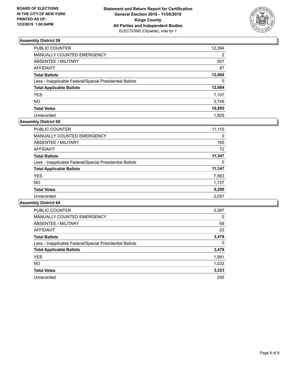

| PUBLIC COUNTER                                           | 12,394         |
|----------------------------------------------------------|----------------|
| MANUALLY COUNTED EMERGENCY                               | $\overline{2}$ |
| ABSENTEE / MILITARY                                      | 201            |
| AFFIDAVIT                                                | 87             |
| <b>Total Ballots</b>                                     | 12,684         |
| Less - Inapplicable Federal/Special Presidential Ballots | $\Omega$       |
| <b>Total Applicable Ballots</b>                          | 12,684         |
| <b>YES</b>                                               | 7,107          |
| NO                                                       | 3,748          |
| <b>Total Votes</b>                                       | 10,855         |
| Unrecorded                                               | 1.829          |

# **Assembly District 60**

| 11,110 |
|--------|
| 0      |
| 165    |
| 72     |
| 11,347 |
| 0      |
| 11,347 |
| 7,563  |
| 1.727  |
| 9,290  |
| 2,057  |
|        |

| <b>PUBLIC COUNTER</b>                                    | 3,387    |
|----------------------------------------------------------|----------|
| <b>MANUALLY COUNTED EMERGENCY</b>                        | $\Omega$ |
| ABSENTEE / MILITARY                                      | 68       |
| AFFIDAVIT                                                | 23       |
| <b>Total Ballots</b>                                     | 3,478    |
| Less - Inapplicable Federal/Special Presidential Ballots | 0        |
| <b>Total Applicable Ballots</b>                          | 3,478    |
| <b>YES</b>                                               | 1,991    |
| NO.                                                      | 1,232    |
| <b>Total Votes</b>                                       | 3,223    |
| Unrecorded                                               | 255      |